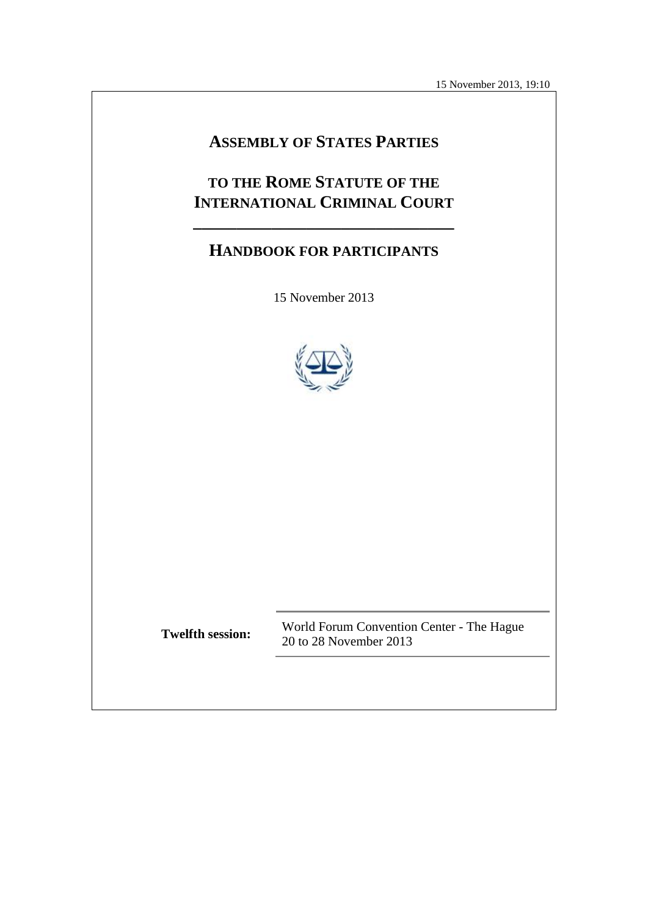15 November 2013, 19:10

# **ASSEMBLY OF STATES PARTIES**

# **TO THE ROME STATUTE OF THE INTERNATIONAL CRIMINAL COURT**

**\_\_\_\_\_\_\_\_\_\_\_\_\_\_\_\_\_\_\_\_\_\_\_\_\_\_\_\_\_\_**

# **HANDBOOK FOR PARTICIPANTS**

15 November 2013



**Twelfth session:** World Forum Convention Center - The Hague 20 to 28 November 2013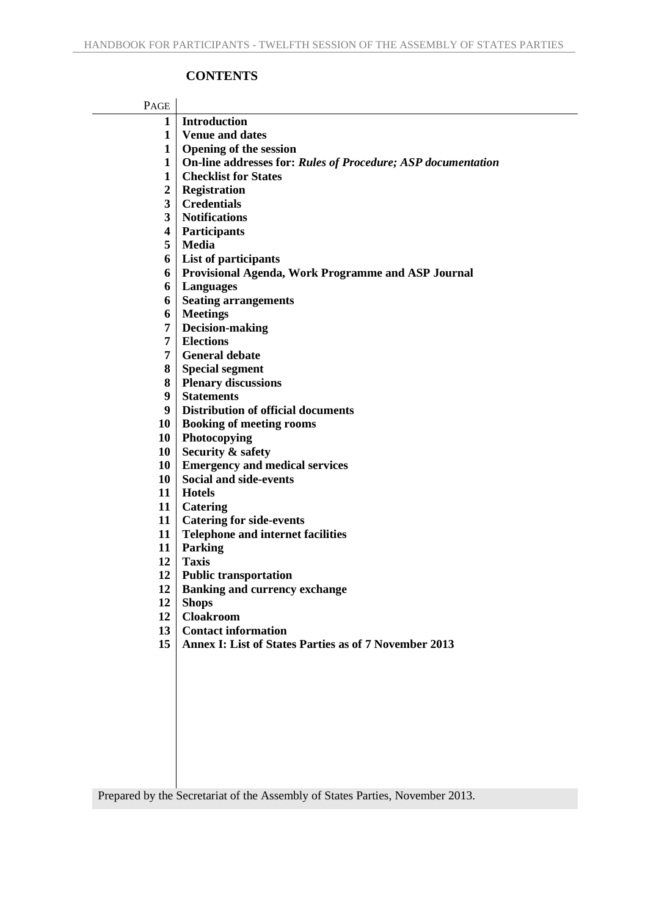## **CONTENTS**

| PAGE           |                                                              |  |  |  |
|----------------|--------------------------------------------------------------|--|--|--|
| 1              | <b>Introduction</b>                                          |  |  |  |
| $\mathbf 1$    | <b>Venue and dates</b>                                       |  |  |  |
| $\mathbf{1}$   | <b>Opening of the session</b>                                |  |  |  |
| $\mathbf{1}$   | On-line addresses for: Rules of Procedure; ASP documentation |  |  |  |
| 1              | <b>Checklist for States</b>                                  |  |  |  |
| $\overline{2}$ | <b>Registration</b>                                          |  |  |  |
| 3              | <b>Credentials</b>                                           |  |  |  |
| 3              | <b>Notifications</b>                                         |  |  |  |
| 4              | <b>Participants</b>                                          |  |  |  |
| 5              | <b>Media</b>                                                 |  |  |  |
| 6              | List of participants                                         |  |  |  |
| 6              | <b>Provisional Agenda, Work Programme and ASP Journal</b>    |  |  |  |
| 6              | <b>Languages</b>                                             |  |  |  |
| 6              | <b>Seating arrangements</b>                                  |  |  |  |
| 6              | <b>Meetings</b>                                              |  |  |  |
| 7              | <b>Decision-making</b>                                       |  |  |  |
| 7              | <b>Elections</b>                                             |  |  |  |
| 7              | <b>General debate</b>                                        |  |  |  |
| 8              | <b>Special segment</b>                                       |  |  |  |
| 8              | <b>Plenary discussions</b>                                   |  |  |  |
| 9              | <b>Statements</b>                                            |  |  |  |
| 9 <sup>°</sup> | <b>Distribution of official documents</b>                    |  |  |  |
| 10             | <b>Booking of meeting rooms</b>                              |  |  |  |
| 10             | Photocopying                                                 |  |  |  |
| 10             | Security & safety                                            |  |  |  |
| 10             | <b>Emergency and medical services</b>                        |  |  |  |
| 10             | <b>Social and side-events</b>                                |  |  |  |
|                | 11   Hotels                                                  |  |  |  |
|                | 11   Catering                                                |  |  |  |
| 11             | <b>Catering for side-events</b>                              |  |  |  |
| 11             | <b>Telephone and internet facilities</b>                     |  |  |  |
| 11             | Parking                                                      |  |  |  |
| 12             | <b>Taxis</b>                                                 |  |  |  |
| 12             | <b>Public transportation</b>                                 |  |  |  |
| 12             | <b>Banking and currency exchange</b>                         |  |  |  |
| 12             | <b>Shops</b>                                                 |  |  |  |
| 12             | <b>Cloakroom</b>                                             |  |  |  |
| 13             | <b>Contact information</b>                                   |  |  |  |
| 15             | <b>Annex I: List of States Parties as of 7 November 2013</b> |  |  |  |
|                |                                                              |  |  |  |
|                |                                                              |  |  |  |

Prepared by the Secretariat of the Assembly of States Parties, November 2013.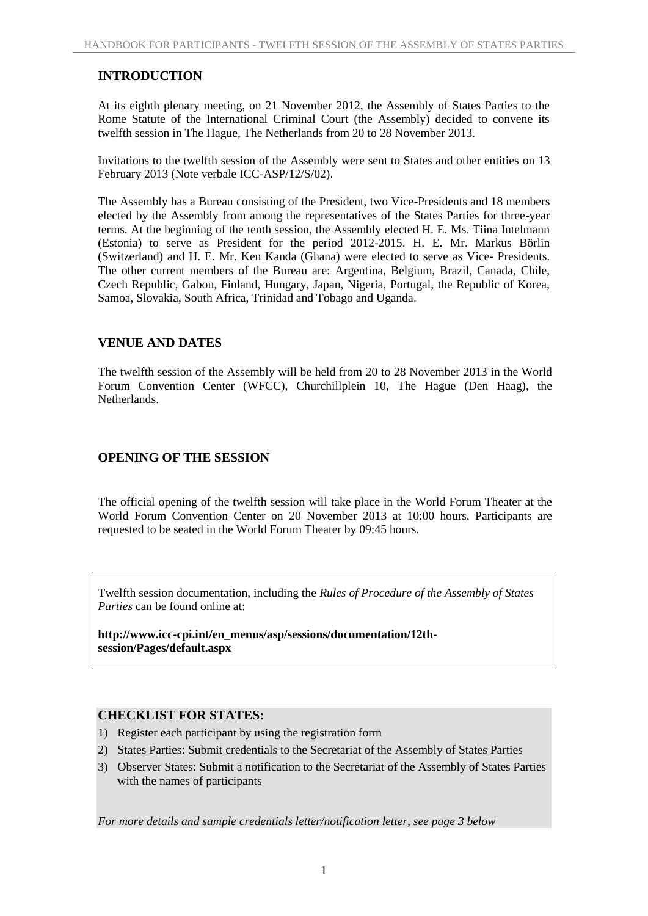## **INTRODUCTION**

At its eighth plenary meeting, on 21 November 2012, the Assembly of States Parties to the Rome Statute of the International Criminal Court (the Assembly) decided to convene its twelfth session in The Hague, The Netherlands from 20 to 28 November 2013.

Invitations to the twelfth session of the Assembly were sent to States and other entities on 13 February 2013 (Note verbale ICC-ASP/12/S/02).

The Assembly has a Bureau consisting of the President, two Vice-Presidents and 18 members elected by the Assembly from among the representatives of the States Parties for three-year terms. At the beginning of the tenth session, the Assembly elected H. E. Ms. Tiina Intelmann (Estonia) to serve as President for the period 2012-2015. H. E. Mr. Markus Börlin (Switzerland) and H. E. Mr. Ken Kanda (Ghana) were elected to serve as Vice- Presidents. The other current members of the Bureau are: Argentina, Belgium, Brazil, Canada, Chile, Czech Republic, Gabon, Finland, Hungary, Japan, Nigeria, Portugal, the Republic of Korea, Samoa, Slovakia, South Africa, Trinidad and Tobago and Uganda.

#### **VENUE AND DATES**

The twelfth session of the Assembly will be held from 20 to 28 November 2013 in the World Forum Convention Center (WFCC), Churchillplein 10, The Hague (Den Haag), the Netherlands.

## **OPENING OF THE SESSION**

The official opening of the twelfth session will take place in the World Forum Theater at the World Forum Convention Center on 20 November 2013 at 10:00 hours. Participants are requested to be seated in the World Forum Theater by 09:45 hours.

Twelfth session documentation, including the *Rules of Procedure of the Assembly of States Parties* can be found online at:

**http://www.icc-cpi.int/en\_menus/asp/sessions/documentation/12thsession/Pages/default.aspx**

#### **CHECKLIST FOR STATES:**

- 1) Register each participant by using the registration form
- 2) States Parties: Submit credentials to the Secretariat of the Assembly of States Parties
- 3) Observer States: Submit a notification to the Secretariat of the Assembly of States Parties with the names of participants

*For more details and sample credentials letter/notification letter, see page 3 below*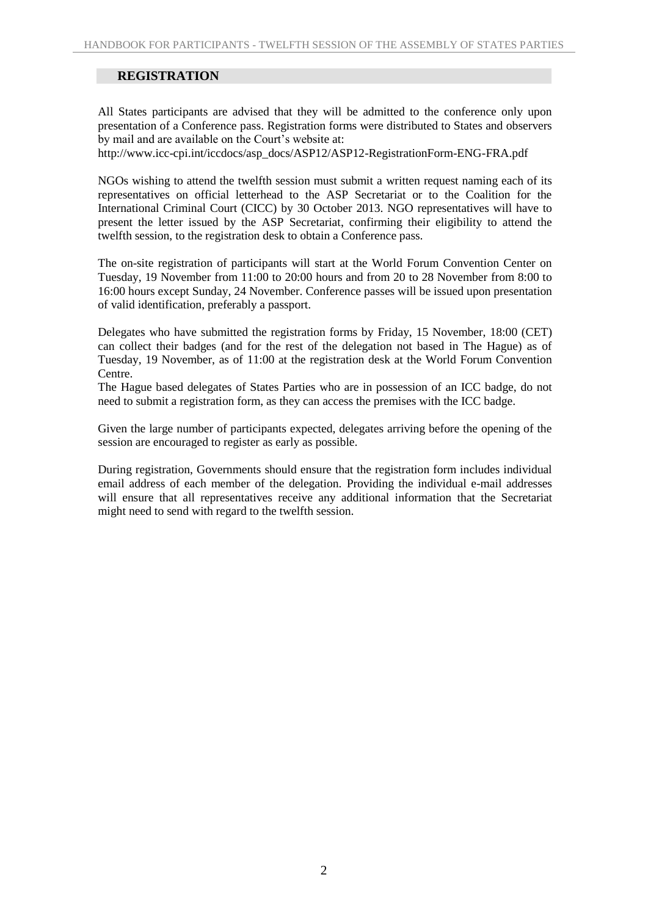## **REGISTRATION**

All States participants are advised that they will be admitted to the conference only upon presentation of a Conference pass. Registration forms were distributed to States and observers by mail and are available on the Court's website at:

http://www.icc-cpi.int/iccdocs/asp\_docs/ASP12/ASP12-RegistrationForm-ENG-FRA.pdf

NGOs wishing to attend the twelfth session must submit a written request naming each of its representatives on official letterhead to the ASP Secretariat or to the Coalition for the International Criminal Court (CICC) by 30 October 2013. NGO representatives will have to present the letter issued by the ASP Secretariat, confirming their eligibility to attend the twelfth session, to the registration desk to obtain a Conference pass.

The on-site registration of participants will start at the World Forum Convention Center on Tuesday, 19 November from 11:00 to 20:00 hours and from 20 to 28 November from 8:00 to 16:00 hours except Sunday, 24 November. Conference passes will be issued upon presentation of valid identification, preferably a passport.

Delegates who have submitted the registration forms by Friday, 15 November, 18:00 (CET) can collect their badges (and for the rest of the delegation not based in The Hague) as of Tuesday, 19 November, as of 11:00 at the registration desk at the World Forum Convention Centre.

The Hague based delegates of States Parties who are in possession of an ICC badge, do not need to submit a registration form, as they can access the premises with the ICC badge.

Given the large number of participants expected, delegates arriving before the opening of the session are encouraged to register as early as possible.

During registration, Governments should ensure that the registration form includes individual email address of each member of the delegation. Providing the individual e-mail addresses will ensure that all representatives receive any additional information that the Secretariat might need to send with regard to the twelfth session.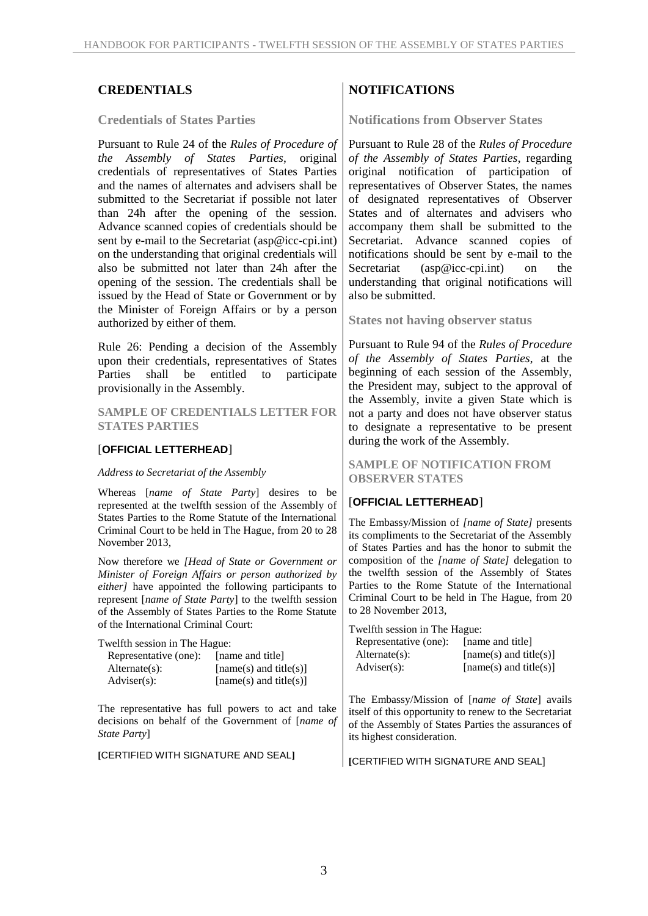#### **Credentials of States Parties**

Pursuant to Rule 24 of the *Rules of Procedure of the Assembly of States Parties*, original credentials of representatives of States Parties and the names of alternates and advisers shall be submitted to the Secretariat if possible not later than 24h after the opening of the session. Advance scanned copies of credentials should be sent by e-mail to the Secretariat (asp@icc-cpi.int) on the understanding that original credentials will also be submitted not later than 24h after the opening of the session. The credentials shall be issued by the Head of State or Government or by the Minister of Foreign Affairs or by a person authorized by either of them.

Rule 26: Pending a decision of the Assembly upon their credentials, representatives of States Parties shall be entitled to participate provisionally in the Assembly.

**SAMPLE OF CREDENTIALS LETTER FOR STATES PARTIES** 

#### [**OFFICIAL LETTERHEAD**]

#### *Address to Secretariat of the Assembly*

Whereas [*name of State Party*] desires to be represented at the twelfth session of the Assembly of States Parties to the Rome Statute of the International Criminal Court to be held in The Hague, from 20 to 28 November 2013,

Now therefore we *[Head of State or Government or Minister of Foreign Affairs or person authorized by either]* have appointed the following participants to represent [*name of State Party*] to the twelfth session of the Assembly of States Parties to the Rome Statute of the International Criminal Court:

Twelfth session in The Hague:

| Representative (one): | [name and title]         |
|-----------------------|--------------------------|
| $Alternate(s)$ :      | $[name(s)$ and title(s)] |
| $\text{Adviser}(s)$ : | $[name(s)$ and title(s)] |

The representative has full powers to act and take decisions on behalf of the Government of [*name of State Party*]

**[**CERTIFIED WITH SIGNATURE AND SEAL**]**

## **CREDENTIALS NOTIFICATIONS**

**Notifications from Observer States**

Pursuant to Rule 28 of the *Rules of Procedure of the Assembly of States Parties*, regarding original notification of participation of representatives of Observer States, the names of designated representatives of Observer States and of alternates and advisers who accompany them shall be submitted to the Secretariat. Advance scanned copies of notifications should be sent by e-mail to the Secretariat (asp@icc-cpi.int) on the understanding that original notifications will also be submitted.

**States not having observer status**

Pursuant to Rule 94 of the *Rules of Procedure of the Assembly of States Parties*, at the beginning of each session of the Assembly, the President may, subject to the approval of the Assembly, invite a given State which is not a party and does not have observer status to designate a representative to be present during the work of the Assembly.

**SAMPLE OF NOTIFICATION FROM OBSERVER STATES** 

#### [**OFFICIAL LETTERHEAD**]

The Embassy/Mission of *[name of State]* presents its compliments to the Secretariat of the Assembly of States Parties and has the honor to submit the composition of the *[name of State]* delegation to the twelfth session of the Assembly of States Parties to the Rome Statute of the International Criminal Court to be held in The Hague, from 20 to 28 November 2013,

Twelfth session in The Hague:

| Representative (one): | [name and title]         |
|-----------------------|--------------------------|
| $Alternate(s)$ :      | $[name(s)$ and title(s)] |
| $Adviser(s)$ :        | $[name(s)$ and title(s)] |

The Embassy/Mission of [*name of State*] avails itself of this opportunity to renew to the Secretariat of the Assembly of States Parties the assurances of its highest consideration.

**[**CERTIFIED WITH SIGNATURE AND SEAL]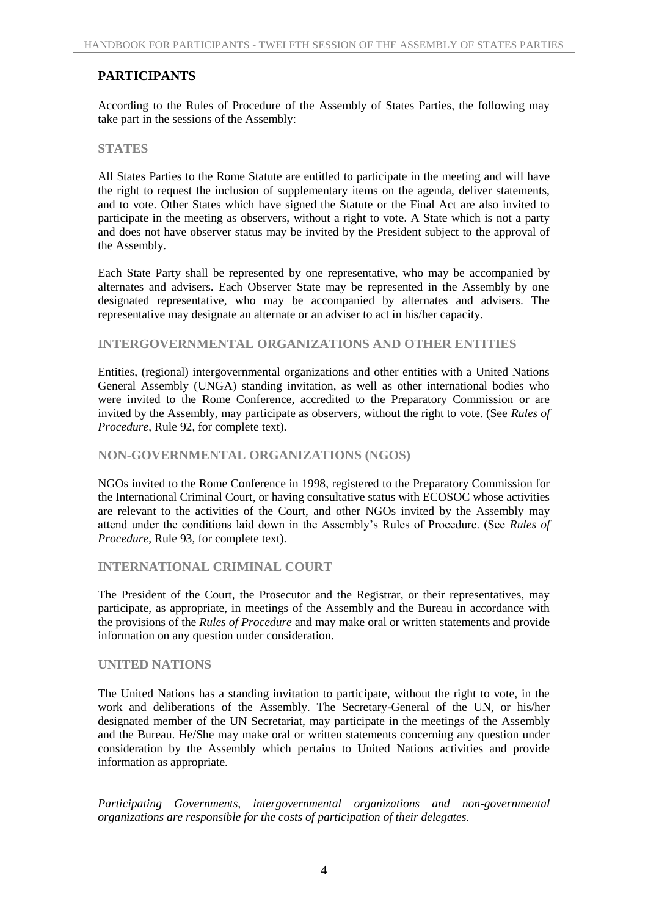## **PARTICIPANTS**

According to the Rules of Procedure of the Assembly of States Parties, the following may take part in the sessions of the Assembly:

#### **STATES**

All States Parties to the Rome Statute are entitled to participate in the meeting and will have the right to request the inclusion of supplementary items on the agenda, deliver statements, and to vote. Other States which have signed the Statute or the Final Act are also invited to participate in the meeting as observers, without a right to vote. A State which is not a party and does not have observer status may be invited by the President subject to the approval of the Assembly.

Each State Party shall be represented by one representative, who may be accompanied by alternates and advisers. Each Observer State may be represented in the Assembly by one designated representative, who may be accompanied by alternates and advisers. The representative may designate an alternate or an adviser to act in his/her capacity.

#### **INTERGOVERNMENTAL ORGANIZATIONS AND OTHER ENTITIES**

Entities, (regional) intergovernmental organizations and other entities with a United Nations General Assembly (UNGA) standing invitation, as well as other international bodies who were invited to the Rome Conference, accredited to the Preparatory Commission or are invited by the Assembly, may participate as observers, without the right to vote. (See *Rules of Procedure*, Rule 92, for complete text).

#### **NON-GOVERNMENTAL ORGANIZATIONS (NGOS)**

NGOs invited to the Rome Conference in 1998, registered to the Preparatory Commission for the International Criminal Court, or having consultative status with ECOSOC whose activities are relevant to the activities of the Court, and other NGOs invited by the Assembly may attend under the conditions laid down in the Assembly's Rules of Procedure. (See *Rules of Procedure*, Rule 93, for complete text).

#### **INTERNATIONAL CRIMINAL COURT**

The President of the Court, the Prosecutor and the Registrar, or their representatives, may participate, as appropriate, in meetings of the Assembly and the Bureau in accordance with the provisions of the *Rules of Procedure* and may make oral or written statements and provide information on any question under consideration.

#### **UNITED NATIONS**

The United Nations has a standing invitation to participate, without the right to vote, in the work and deliberations of the Assembly. The Secretary-General of the UN, or his/her designated member of the UN Secretariat, may participate in the meetings of the Assembly and the Bureau. He/She may make oral or written statements concerning any question under consideration by the Assembly which pertains to United Nations activities and provide information as appropriate.

*Participating Governments, intergovernmental organizations and non-governmental organizations are responsible for the costs of participation of their delegates.*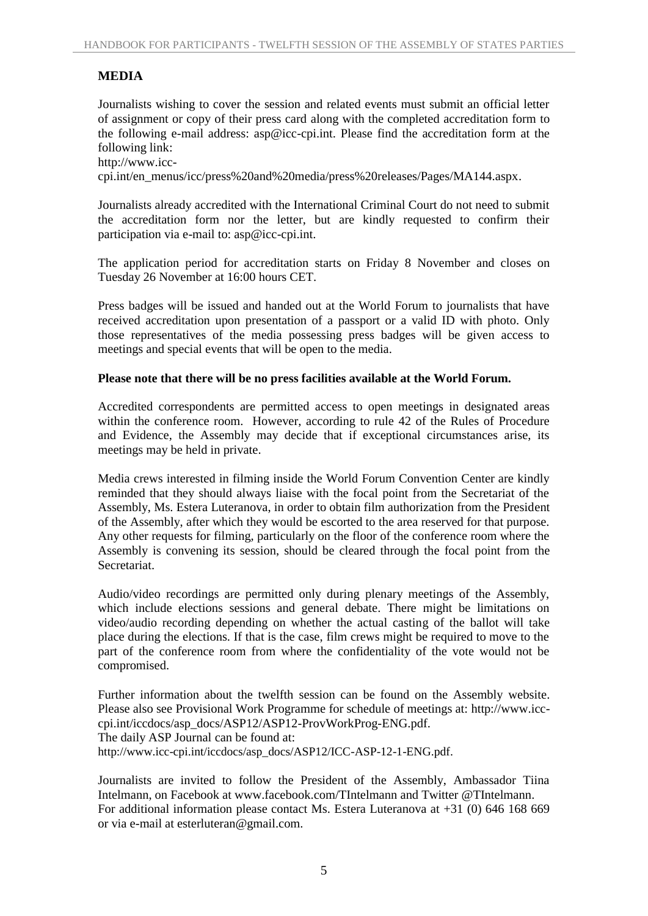## **MEDIA**

Journalists wishing to cover the session and related events must submit an official letter of assignment or copy of their press card along with the completed accreditation form to the following e-mail address: asp@icc-cpi.int. Please find the accreditation form at the following link:

http://www.icccpi.int/en\_menus/icc/press%20and%20media/press%20releases/Pages/MA144.aspx.

Journalists already accredited with the International Criminal Court do not need to submit the accreditation form nor the letter, but are kindly requested to confirm their participation via e-mail to: asp@icc-cpi.int.

The application period for accreditation starts on Friday 8 November and closes on Tuesday 26 November at 16:00 hours CET.

Press badges will be issued and handed out at the World Forum to journalists that have received accreditation upon presentation of a passport or a valid ID with photo. Only those representatives of the media possessing press badges will be given access to meetings and special events that will be open to the media.

## **Please note that there will be no press facilities available at the World Forum.**

Accredited correspondents are permitted access to open meetings in designated areas within the conference room. However, according to rule 42 of the Rules of Procedure and Evidence, the Assembly may decide that if exceptional circumstances arise, its meetings may be held in private.

Media crews interested in filming inside the World Forum Convention Center are kindly reminded that they should always liaise with the focal point from the Secretariat of the Assembly, Ms. Estera Luteranova, in order to obtain film authorization from the President of the Assembly, after which they would be escorted to the area reserved for that purpose. Any other requests for filming, particularly on the floor of the conference room where the Assembly is convening its session, should be cleared through the focal point from the Secretariat.

Audio/video recordings are permitted only during plenary meetings of the Assembly, which include elections sessions and general debate. There might be limitations on video/audio recording depending on whether the actual casting of the ballot will take place during the elections. If that is the case, film crews might be required to move to the part of the conference room from where the confidentiality of the vote would not be compromised.

Further information about the twelfth session can be found on the Assembly website. Please also see Provisional Work Programme for schedule of meetings at: http://www.icccpi.int/iccdocs/asp\_docs/ASP12/ASP12-ProvWorkProg-ENG.pdf. The daily ASP Journal can be found at: http://www.icc-cpi.int/iccdocs/asp\_docs/ASP12/ICC-ASP-12-1-ENG.pdf.

Journalists are invited to follow the President of the Assembly, Ambassador Tiina Intelmann, on Facebook at www.facebook.com/TIntelmann and Twitter @TIntelmann. For additional information please contact Ms. Estera Luteranova at +31 (0) 646 168 669 or via e-mail at esterluteran@gmail.com.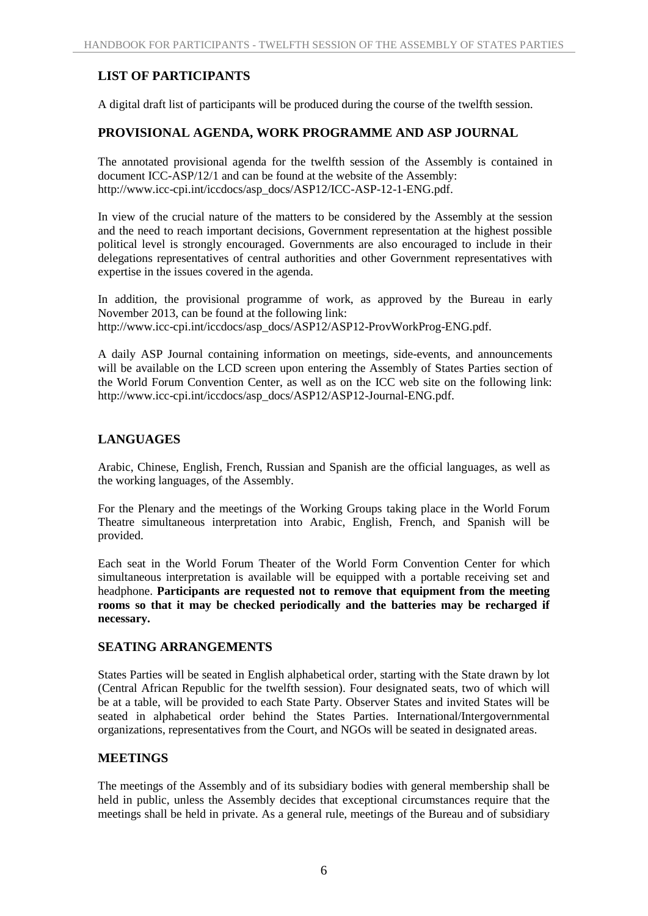## **LIST OF PARTICIPANTS**

A digital draft list of participants will be produced during the course of the twelfth session.

## **PROVISIONAL AGENDA, WORK PROGRAMME AND ASP JOURNAL**

The annotated provisional agenda for the twelfth session of the Assembly is contained in document ICC-ASP/12/1 and can be found at the website of the Assembly: http://www.icc-cpi.int/iccdocs/asp\_docs/ASP12/ICC-ASP-12-1-ENG.pdf.

In view of the crucial nature of the matters to be considered by the Assembly at the session and the need to reach important decisions, Government representation at the highest possible political level is strongly encouraged. Governments are also encouraged to include in their delegations representatives of central authorities and other Government representatives with expertise in the issues covered in the agenda.

In addition, the provisional programme of work, as approved by the Bureau in early November 2013, can be found at the following link: http://www.icc-cpi.int/iccdocs/asp\_docs/ASP12/ASP12-ProvWorkProg-ENG.pdf.

A daily ASP Journal containing information on meetings, side-events, and announcements will be available on the LCD screen upon entering the Assembly of States Parties section of the World Forum Convention Center, as well as on the ICC web site on the following link: http://www.icc-cpi.int/iccdocs/asp\_docs/ASP12/ASP12-Journal-ENG.pdf.

## **LANGUAGES**

Arabic, Chinese, English, French, Russian and Spanish are the official languages, as well as the working languages, of the Assembly.

For the Plenary and the meetings of the Working Groups taking place in the World Forum Theatre simultaneous interpretation into Arabic, English, French, and Spanish will be provided.

Each seat in the World Forum Theater of the World Form Convention Center for which simultaneous interpretation is available will be equipped with a portable receiving set and headphone. **Participants are requested not to remove that equipment from the meeting rooms so that it may be checked periodically and the batteries may be recharged if necessary.**

## **SEATING ARRANGEMENTS**

States Parties will be seated in English alphabetical order, starting with the State drawn by lot (Central African Republic for the twelfth session). Four designated seats, two of which will be at a table, will be provided to each State Party. Observer States and invited States will be seated in alphabetical order behind the States Parties. International/Intergovernmental organizations, representatives from the Court, and NGOs will be seated in designated areas.

## **MEETINGS**

The meetings of the Assembly and of its subsidiary bodies with general membership shall be held in public, unless the Assembly decides that exceptional circumstances require that the meetings shall be held in private. As a general rule, meetings of the Bureau and of subsidiary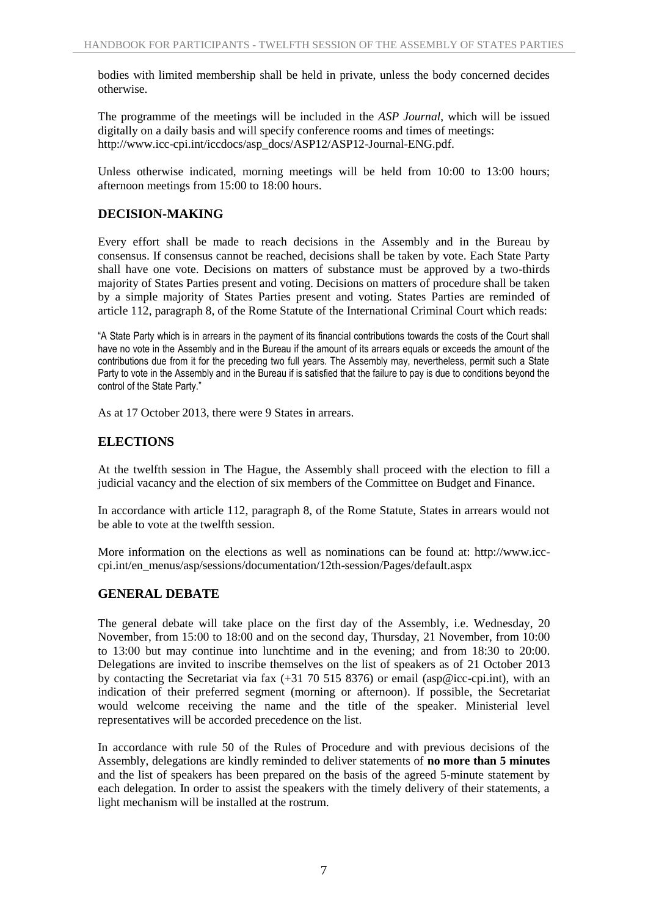bodies with limited membership shall be held in private, unless the body concerned decides otherwise.

The programme of the meetings will be included in the *ASP Journal*, which will be issued digitally on a daily basis and will specify conference rooms and times of meetings: http://www.icc-cpi.int/iccdocs/asp\_docs/ASP12/ASP12-Journal-ENG.pdf.

Unless otherwise indicated, morning meetings will be held from 10:00 to 13:00 hours; afternoon meetings from 15:00 to 18:00 hours.

## **DECISION-MAKING**

Every effort shall be made to reach decisions in the Assembly and in the Bureau by consensus. If consensus cannot be reached, decisions shall be taken by vote. Each State Party shall have one vote. Decisions on matters of substance must be approved by a two-thirds majority of States Parties present and voting. Decisions on matters of procedure shall be taken by a simple majority of States Parties present and voting. States Parties are reminded of article 112, paragraph 8, of the Rome Statute of the International Criminal Court which reads:

"A State Party which is in arrears in the payment of its financial contributions towards the costs of the Court shall have no vote in the Assembly and in the Bureau if the amount of its arrears equals or exceeds the amount of the contributions due from it for the preceding two full years. The Assembly may, nevertheless, permit such a State Party to vote in the Assembly and in the Bureau if is satisfied that the failure to pay is due to conditions beyond the control of the State Party."

As at 17 October 2013, there were 9 States in arrears.

## **ELECTIONS**

At the twelfth session in The Hague, the Assembly shall proceed with the election to fill a judicial vacancy and the election of six members of the Committee on Budget and Finance*.*

In accordance with article 112, paragraph 8, of the Rome Statute, States in arrears would not be able to vote at the twelfth session.

More information on the elections as well as nominations can be found at: http://www.icccpi.int/en\_menus/asp/sessions/documentation/12th-session/Pages/default.aspx

## **GENERAL DEBATE**

The general debate will take place on the first day of the Assembly, i.e. Wednesday, 20 November, from 15:00 to 18:00 and on the second day, Thursday, 21 November, from 10:00 to 13:00 but may continue into lunchtime and in the evening; and from 18:30 to 20:00. Delegations are invited to inscribe themselves on the list of speakers as of 21 October 2013 by contacting the Secretariat via fax (+31 70 515 8376) or email (asp@icc-cpi.int), with an indication of their preferred segment (morning or afternoon). If possible, the Secretariat would welcome receiving the name and the title of the speaker. Ministerial level representatives will be accorded precedence on the list.

In accordance with rule 50 of the Rules of Procedure and with previous decisions of the Assembly, delegations are kindly reminded to deliver statements of **no more than 5 minutes** and the list of speakers has been prepared on the basis of the agreed 5-minute statement by each delegation. In order to assist the speakers with the timely delivery of their statements, a light mechanism will be installed at the rostrum.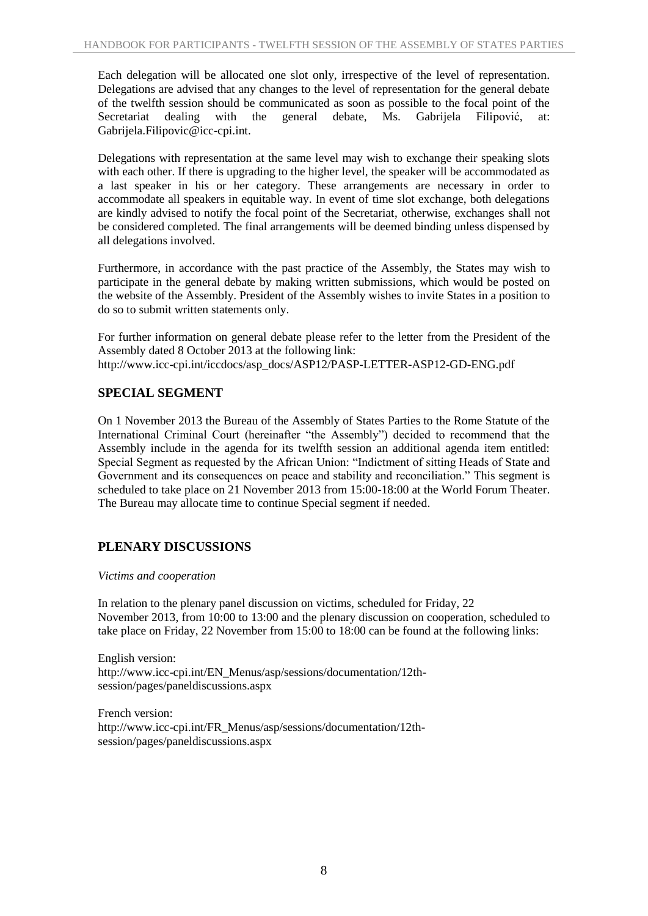Each delegation will be allocated one slot only, irrespective of the level of representation. Delegations are advised that any changes to the level of representation for the general debate of the twelfth session should be communicated as soon as possible to the focal point of the Secretariat dealing with the general debate. Ms. Gabrijela Filipović, at: Gabrijela.Filipovic@icc-cpi.int.

Delegations with representation at the same level may wish to exchange their speaking slots with each other. If there is upgrading to the higher level, the speaker will be accommodated as a last speaker in his or her category. These arrangements are necessary in order to accommodate all speakers in equitable way. In event of time slot exchange, both delegations are kindly advised to notify the focal point of the Secretariat, otherwise, exchanges shall not be considered completed. The final arrangements will be deemed binding unless dispensed by all delegations involved.

Furthermore, in accordance with the past practice of the Assembly, the States may wish to participate in the general debate by making written submissions, which would be posted on the website of the Assembly. President of the Assembly wishes to invite States in a position to do so to submit written statements only.

For further information on general debate please refer to the letter from the President of the Assembly dated 8 October 2013 at the following link: http://www.icc-cpi.int/iccdocs/asp\_docs/ASP12/PASP-LETTER-ASP12-GD-ENG.pdf

## **SPECIAL SEGMENT**

On 1 November 2013 the Bureau of the Assembly of States Parties to the Rome Statute of the International Criminal Court (hereinafter "the Assembly") decided to recommend that the Assembly include in the agenda for its twelfth session an additional agenda item entitled: Special Segment as requested by the African Union: "Indictment of sitting Heads of State and Government and its consequences on peace and stability and reconciliation." This segment is scheduled to take place on 21 November 2013 from 15:00-18:00 at the World Forum Theater. The Bureau may allocate time to continue Special segment if needed.

## **PLENARY DISCUSSIONS**

*Victims and cooperation*

In relation to the plenary panel discussion on victims, scheduled for Friday, 22 November 2013, from 10:00 to 13:00 and the plenary discussion on cooperation, scheduled to take place on Friday, 22 November from 15:00 to 18:00 can be found at the following links:

English version: http://www.icc-cpi.int/EN\_Menus/asp/sessions/documentation/12thsession/pages/paneldiscussions.aspx

French version: http://www.icc-cpi.int/FR\_Menus/asp/sessions/documentation/12thsession/pages/paneldiscussions.aspx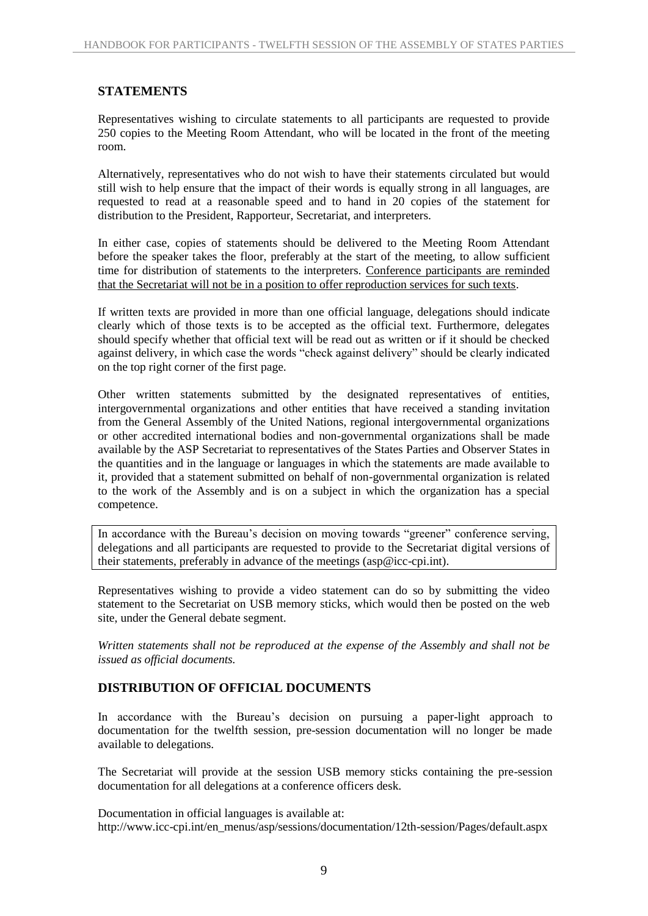## **STATEMENTS**

Representatives wishing to circulate statements to all participants are requested to provide 250 copies to the Meeting Room Attendant, who will be located in the front of the meeting room.

Alternatively, representatives who do not wish to have their statements circulated but would still wish to help ensure that the impact of their words is equally strong in all languages, are requested to read at a reasonable speed and to hand in 20 copies of the statement for distribution to the President, Rapporteur, Secretariat, and interpreters.

In either case, copies of statements should be delivered to the Meeting Room Attendant before the speaker takes the floor, preferably at the start of the meeting, to allow sufficient time for distribution of statements to the interpreters. Conference participants are reminded that the Secretariat will not be in a position to offer reproduction services for such texts.

If written texts are provided in more than one official language, delegations should indicate clearly which of those texts is to be accepted as the official text. Furthermore, delegates should specify whether that official text will be read out as written or if it should be checked against delivery, in which case the words "check against delivery" should be clearly indicated on the top right corner of the first page.

Other written statements submitted by the designated representatives of entities, intergovernmental organizations and other entities that have received a standing invitation from the General Assembly of the United Nations, regional intergovernmental organizations or other accredited international bodies and non-governmental organizations shall be made available by the ASP Secretariat to representatives of the States Parties and Observer States in the quantities and in the language or languages in which the statements are made available to it, provided that a statement submitted on behalf of non-governmental organization is related to the work of the Assembly and is on a subject in which the organization has a special competence.

In accordance with the Bureau's decision on moving towards "greener" conference serving, delegations and all participants are requested to provide to the Secretariat digital versions of their statements, preferably in advance of the meetings (asp@icc-cpi.int).

Representatives wishing to provide a video statement can do so by submitting the video statement to the Secretariat on USB memory sticks, which would then be posted on the web site, under the General debate segment.

*Written statements shall not be reproduced at the expense of the Assembly and shall not be issued as official documents.*

## **DISTRIBUTION OF OFFICIAL DOCUMENTS**

In accordance with the Bureau's decision on pursuing a paper-light approach to documentation for the twelfth session, pre-session documentation will no longer be made available to delegations.

The Secretariat will provide at the session USB memory sticks containing the pre-session documentation for all delegations at a conference officers desk.

Documentation in official languages is available at: http://www.icc-cpi.int/en\_menus/asp/sessions/documentation/12th-session/Pages/default.aspx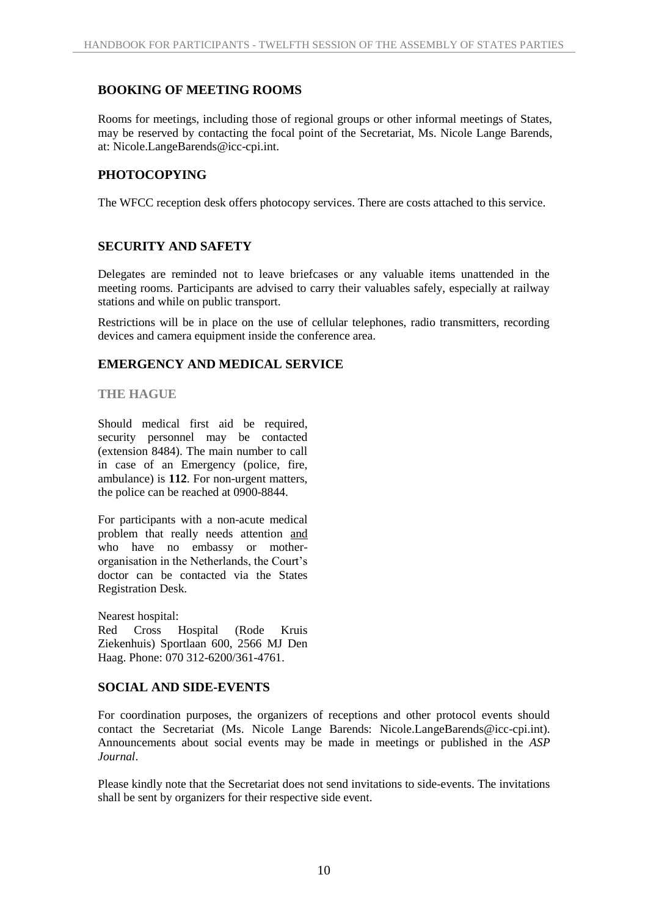## **BOOKING OF MEETING ROOMS**

Rooms for meetings, including those of regional groups or other informal meetings of States, may be reserved by contacting the focal point of the Secretariat, Ms. Nicole Lange Barends, at: Nicole.LangeBarends@icc-cpi.int.

## **PHOTOCOPYING**

The WFCC reception desk offers photocopy services. There are costs attached to this service.

## **SECURITY AND SAFETY**

Delegates are reminded not to leave briefcases or any valuable items unattended in the meeting rooms. Participants are advised to carry their valuables safely, especially at railway stations and while on public transport.

Restrictions will be in place on the use of cellular telephones, radio transmitters, recording devices and camera equipment inside the conference area.

## **EMERGENCY AND MEDICAL SERVICE**

#### **THE HAGUE**

Should medical first aid be required, security personnel may be contacted (extension 8484). The main number to call in case of an Emergency (police, fire, ambulance) is **112**. For non-urgent matters, the police can be reached at 0900-8844.

For participants with a non-acute medical problem that really needs attention and who have no embassy or motherorganisation in the Netherlands, the Court's doctor can be contacted via the States Registration Desk.

Nearest hospital:

Red Cross Hospital (Rode Kruis Ziekenhuis) Sportlaan 600, 2566 MJ Den Haag. Phone: 070 312-6200/361-4761.

## **SOCIAL AND SIDE-EVENTS**

For coordination purposes, the organizers of receptions and other protocol events should contact the Secretariat (Ms. Nicole Lange Barends: Nicole.LangeBarends@icc-cpi.int). Announcements about social events may be made in meetings or published in the *ASP Journal*.

Please kindly note that the Secretariat does not send invitations to side-events. The invitations shall be sent by organizers for their respective side event.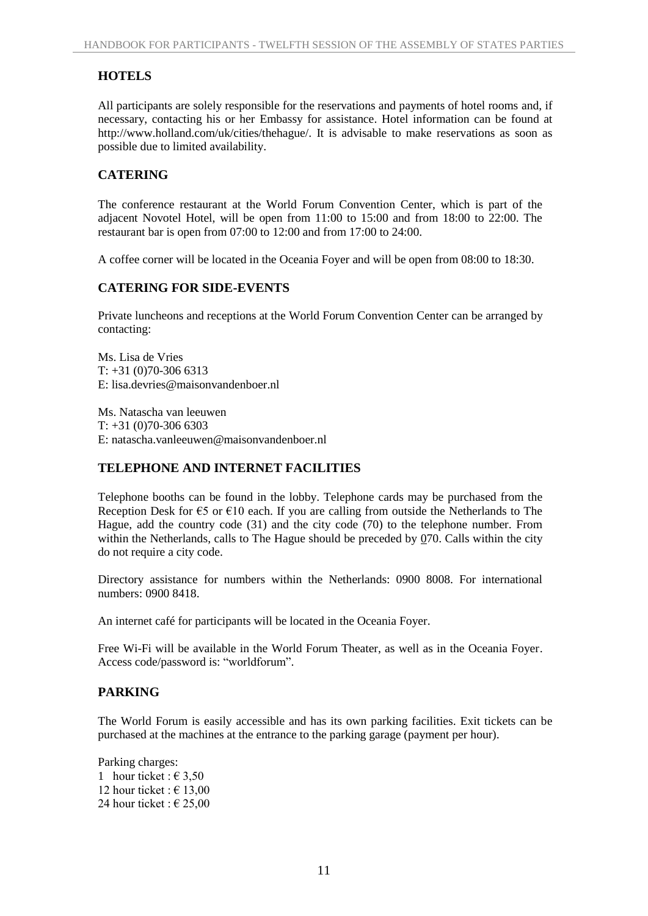## **HOTELS**

All participants are solely responsible for the reservations and payments of hotel rooms and, if necessary, contacting his or her Embassy for assistance. Hotel information can be found at http://www.holland.com/uk/cities/thehague/. It is advisable to make reservations as soon as possible due to limited availability.

## **CATERING**

The conference restaurant at the World Forum Convention Center, which is part of the adjacent Novotel Hotel, will be open from 11:00 to 15:00 and from 18:00 to 22:00. The restaurant bar is open from 07:00 to 12:00 and from 17:00 to 24:00.

A coffee corner will be located in the Oceania Foyer and will be open from 08:00 to 18:30.

## **CATERING FOR SIDE-EVENTS**

Private luncheons and receptions at the World Forum Convention Center can be arranged by contacting:

Ms. Lisa de Vries  $T: +31(0)70-3066313$ E: lisa.devries@maisonvandenboer.nl

Ms. Natascha van leeuwen  $T: +31(0)70-3066303$ E: natascha.vanleeuwen@maisonvandenboer.nl

## **TELEPHONE AND INTERNET FACILITIES**

Telephone booths can be found in the lobby. Telephone cards may be purchased from the Reception Desk for  $\epsilon$ 5 or  $\epsilon$ 10 each. If you are calling from outside the Netherlands to The Hague, add the country code (31) and the city code (70) to the telephone number. From within the Netherlands, calls to The Hague should be preceded by 070. Calls within the city do not require a city code.

Directory assistance for numbers within the Netherlands: 0900 8008. For international numbers: 0900 8418.

An internet café for participants will be located in the Oceania Foyer.

Free Wi-Fi will be available in the World Forum Theater, as well as in the Oceania Foyer. Access code/password is: "worldforum".

## **PARKING**

The World Forum is easily accessible and has its own parking facilities. Exit tickets can be purchased at the machines at the entrance to the parking garage (payment per hour).

Parking charges: 1 hour ticket :  $\epsilon$  3.50 12 hour ticket :  $\in$  13.00 24 hour ticket :  $\in$  25,00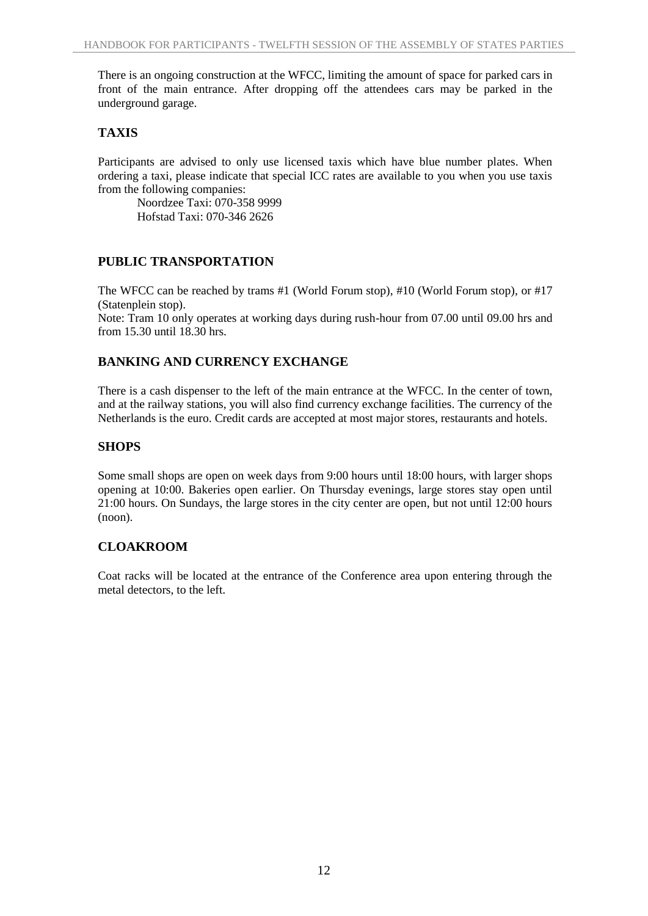There is an ongoing construction at the WFCC, limiting the amount of space for parked cars in front of the main entrance. After dropping off the attendees cars may be parked in the underground garage.

## **TAXIS**

Participants are advised to only use licensed taxis which have blue number plates. When ordering a taxi, please indicate that special ICC rates are available to you when you use taxis from the following companies:

Noordzee Taxi: 070-358 9999 Hofstad Taxi: 070-346 2626

## **PUBLIC TRANSPORTATION**

The WFCC can be reached by trams #1 (World Forum stop), #10 (World Forum stop), or #17 (Statenplein stop).

Note: Tram 10 only operates at working days during rush-hour from 07.00 until 09.00 hrs and from 15.30 until 18.30 hrs.

## **BANKING AND CURRENCY EXCHANGE**

There is a cash dispenser to the left of the main entrance at the WFCC. In the center of town, and at the railway stations, you will also find currency exchange facilities. The currency of the Netherlands is the euro. Credit cards are accepted at most major stores, restaurants and hotels.

## **SHOPS**

Some small shops are open on week days from 9:00 hours until 18:00 hours, with larger shops opening at 10:00. Bakeries open earlier. On Thursday evenings, large stores stay open until 21:00 hours. On Sundays, the large stores in the city center are open, but not until 12:00 hours (noon).

## **CLOAKROOM**

Coat racks will be located at the entrance of the Conference area upon entering through the metal detectors, to the left.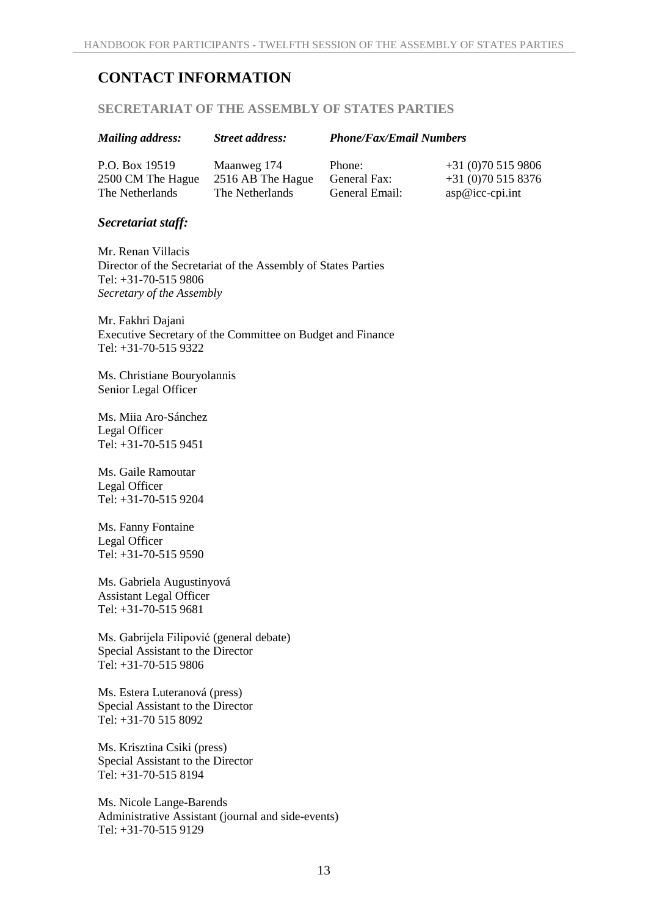# **CONTACT INFORMATION**

#### **SECRETARIAT OF THE ASSEMBLY OF STATES PARTIES**

| <b>Mailing address:</b> | <b>Street address:</b> | <b>Phone/Fax/Email Numbers</b> |                   |
|-------------------------|------------------------|--------------------------------|-------------------|
| P.O. Box 19519          | Maanweg 174            | Phone:                         | $+31(0)705159806$ |
| 2500 CM The Hague       | 2516 AB The Hague      | General Fax:                   | $+31(0)705158376$ |
| The Netherlands         | The Netherlands        | General Email:                 | $asp@icc-cpi.int$ |

#### *Secretariat staff:*

Mr. Renan Villacis Director of the Secretariat of the Assembly of States Parties Tel: +31-70-515 9806 *Secretary of the Assembly*

Mr. Fakhri Dajani Executive Secretary of the Committee on Budget and Finance Tel: +31-70-515 9322

Ms. Christiane Bouryolannis Senior Legal Officer

Ms. Miia Aro-Sánchez Legal Officer Tel: +31-70-515 9451

Ms. Gaile Ramoutar Legal Officer Tel: +31-70-515 9204

Ms. Fanny Fontaine Legal Officer Tel: +31-70-515 9590

Ms. Gabriela Augustinyová Assistant Legal Officer Tel: +31-70-515 9681

Ms. Gabrijela Filipović (general debate) Special Assistant to the Director Tel: +31-70-515 9806

Ms. Estera Luteranová (press) Special Assistant to the Director Tel: +31-70 515 8092

Ms. Krisztina Csiki (press) Special Assistant to the Director Tel: +31-70-515 8194

Ms. Nicole Lange-Barends Administrative Assistant (journal and side-events) Tel: +31-70-515 9129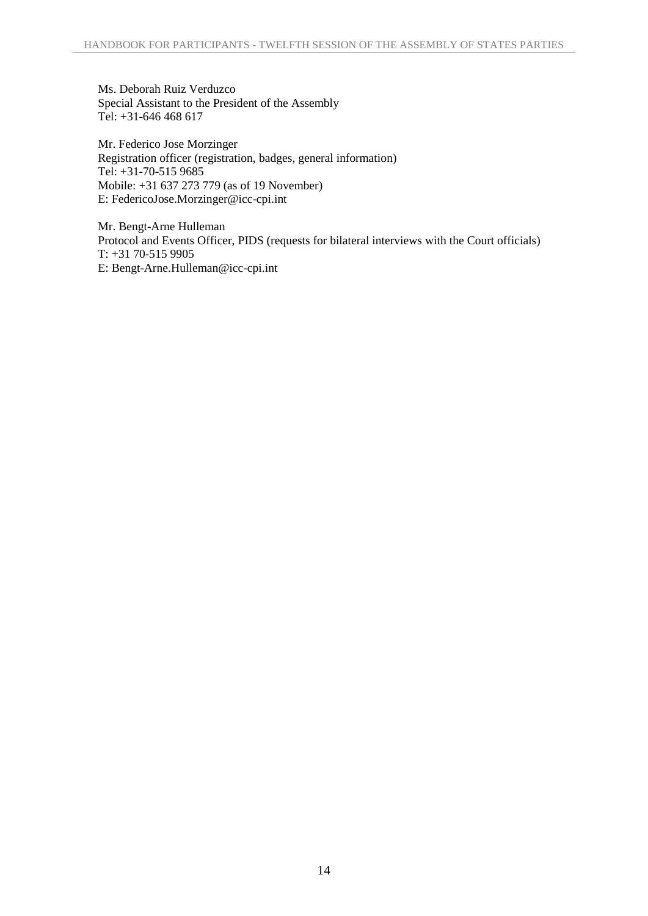Ms. Deborah Ruiz Verduzco Special Assistant to the President of the Assembly Tel: +31-646 468 617

Mr. Federico Jose Morzinger Registration officer (registration, badges, general information) Tel: +31-70-515 9685 Mobile: +31 637 273 779 (as of 19 November) E: FedericoJose.Morzinger@icc-cpi.int

Mr. Bengt-Arne Hulleman Protocol and Events Officer, PIDS (requests for bilateral interviews with the Court officials) T: +31 70-515 9905 E: Bengt-Arne.Hulleman@icc-cpi.int